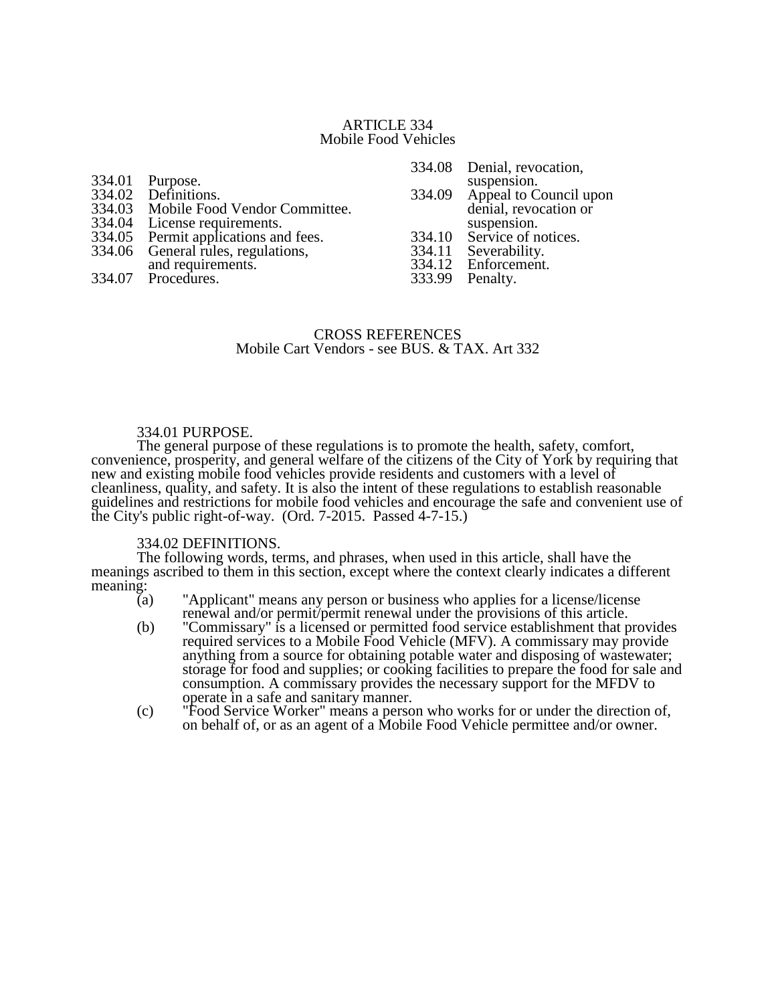### ARTICLE 334 Mobile Food Vehicles

| 334.06 General rules, regulations,<br>and requirements.<br>334.07 Procedures. | 334.12 Enforcement.<br>333.99 Penalty. | 334.11 Severability. |
|-------------------------------------------------------------------------------|----------------------------------------|----------------------|
|-------------------------------------------------------------------------------|----------------------------------------|----------------------|

### CROSS REFERENCES Mobile Cart Vendors - see BUS. & TAX. Art 332

#### 334.01 PURPOSE.

The general purpose of these regulations is to promote the health, safety, comfort, convenience, prosperity, and general welfare of the citizens of the City of York by requiring that new and existing mobile food vehicles provide residents and customers with a level of cleanliness, quality, and safety. It is also the intent of these regulations to establish reasonable guidelines and restrictions for mobile food vehicles and encourage the safe and convenient use of the City's public right-of-way. (Ord. 7-2015. Passed 4-7-15.)

#### 334.02 DEFINITIONS.

The following words, terms, and phrases, when used in this article, shall have the meanings ascribed to them in this section, except where the context clearly indicates a different meaning:<br> $\frac{1}{a}$ 

- "Applicant" means any person or business who applies for a license/license renewal and/or permit/permit renewal under the provisions of this article.
- (b) "Commissary" is a licensed or permitted food service establishment that provides required services to a Mobile Food Vehicle (MFV). A commissary may provide anything from a source for obtaining potable water and disposing of wastewater; storage for food and supplies; or cooking facilities to prepare the food for sale and consumption. A commissary provides the necessary support for the MFDV to operate in a safe and sanitary manner.
- (c) "Food Service Worker" means a person who works for or under the direction of, on behalf of, or as an agent of a Mobile Food Vehicle permittee and/or owner.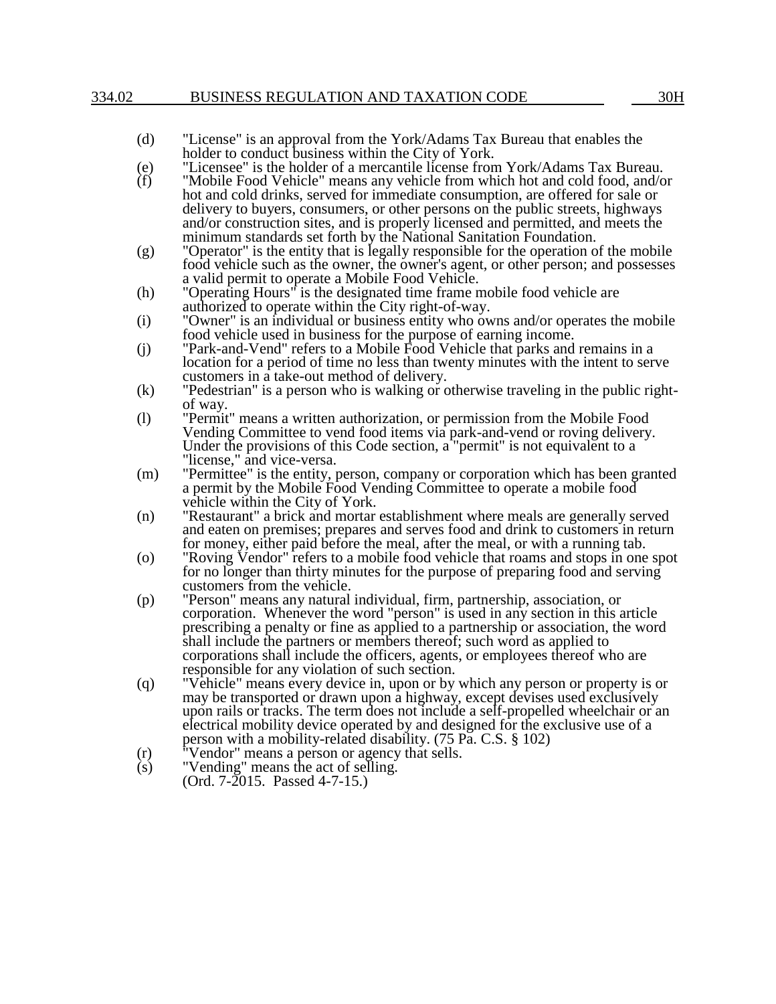#### 334.02 BUSINESS REGULATION AND TAXATION CODE 30H

- (d) "License" is an approval from the York/Adams Tax Bureau that enables the holder to conduct business within the City of York.
- (e) "Licensee" is the holder of a mercantile license from York/Adams Tax Bureau.<br>
(f) "Mobile Food Vehicle" means any vehicle from which hot and cold food, and/o
- "Mobile Food Vehicle" means any vehicle from which hot and cold food, and/or hot and cold drinks, served for immediate consumption, are offered for sale or delivery to buyers, consumers, or other persons on the public streets, highways and/or construction sites, and is properly licensed and permitted, and meets the minimum standards set forth by the National Sanitation Foundation.
- (g) "Operator" is the entity that is legally responsible for the operation of the mobile food vehicle such as the owner, the owner's agent, or other person; and possesses a valid permit to operate a Mobile Food Vehicle.
- (h) "Operating Hours" is the designated time frame mobile food vehicle are authorized to operate within the City right-of-way.
- (i) "Owner" is an individual or business entity who owns and/or operates the mobile food vehicle used in business for the purpose of earning income.
- (j) "Park-and-Vend" refers to a Mobile Food Vehicle that parks and remains in a location for a period of time no less than twenty minutes with the intent to serve customers in a take-out method of delivery.
- (k) "Pedestrian" is a person who is walking or otherwise traveling in the public rightof way.
- (l) "Permit" means a written authorization, or permission from the Mobile Food Vending Committee to vend food items via park-and-vend or roving delivery. Under the provisions of this Code section, a "permit" is not equivalent to a "license," and vice-versa.
- (m) "Permittee" is the entity, person, company or corporation which has been granted a permit by the Mobile Food Vending Committee to operate a mobile food vehicle within the City of York.
- (n) "Restaurant" a brick and mortar establishment where meals are generally served and eaten on premises; prepares and serves food and drink to customers in return for money, either paid before the meal, after the meal, or with a running tab.
- (o) "Roving Vendor" refers to a mobile food vehicle that roams and stops in one spot for no longer than thirty minutes for the purpose of preparing food and serving customers from the vehicle.
- (p) "Person" means any natural individual, firm, partnership, association, or corporation. Whenever the word "person" is used in any section in this article prescribing a penalty or fine as applied to a partnership or association, the word shall include the partners or members thereof; such word as applied to corporations shall include the officers, agents, or employees thereof who are responsible for any violation of such section.
- (q) "Vehicle" means every device in, upon or by which any person or property is or may be transported or drawn upon a highway, except devises used exclusively upon rails or tracks. The term does not include a self-propelled wheelchair or an electrical mobility device operated by and designed for the exclusive use of a person with a mobility-related disability. (75 Pa. C.S. § 102)
- (r) "Vendor" means a person or agency that sells. (r) "Vendor" means a person or agency<br>(s) "Vending" means the act of selling.
- (Ord. 7-2015. Passed 4-7-15.)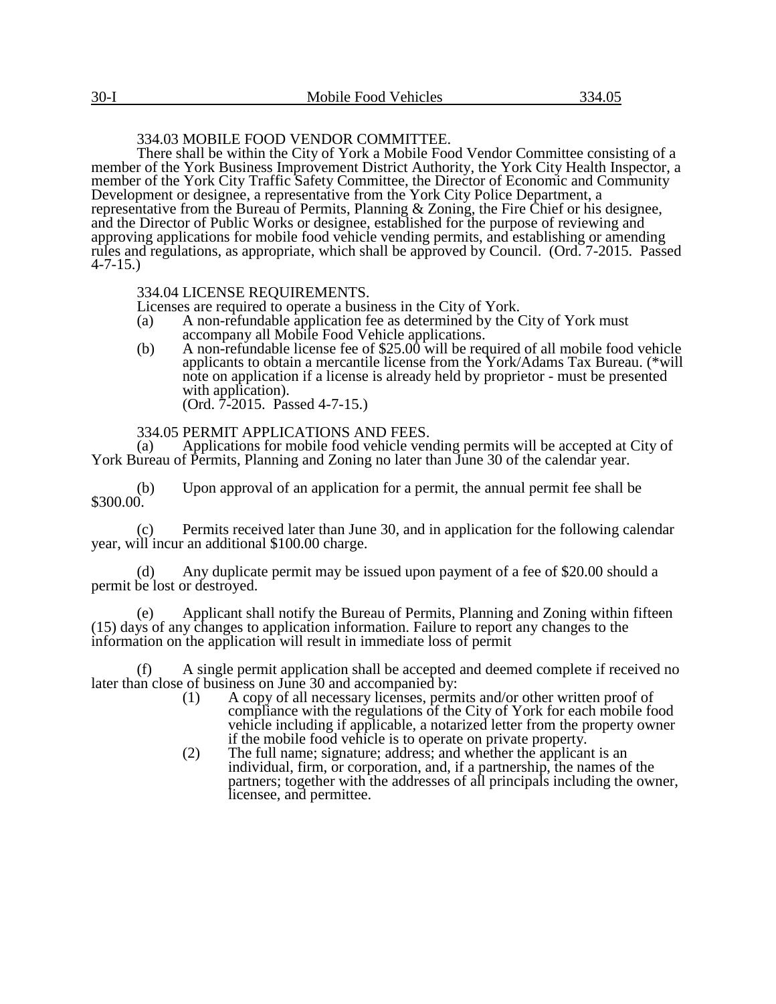# 334.03 MOBILE FOOD VENDOR COMMITTEE.

There shall be within the City of York a Mobile Food Vendor Committee consisting of a member of the York Business Improvement District Authority, the York City Health Inspector, a member of the York City Traffic Safety Committee, the Director of Economic and Community Development or designee, a representative from the York City Police Department, a representative from the Bureau of Permits, Planning & Zoning, the Fire Chief or his designee, and the Director of Public Works or designee, established for the purpose of reviewing and approving applications for mobile food vehicle vending permits, and establishing or amending rules and regulations, as appropriate, which shall be approved by Council. (Ord. 7-2015. Passed 4-7-15.)

## 334.04 LICENSE REQUIREMENTS.

Licenses are required to operate a business in the City of York.

- (a) A non-refundable application fee as determined by the City of York must accompany all Mobile Food Vehicle applications.
- (b) A non-refundable license fee of  $$25.00$  will be required of all mobile food vehicle applicants to obtain a mercantile license from the York/Adams Tax Bureau. (\*will note on application if a license is already held by proprietor - must be presented with application). (Ord. 7-2015. Passed 4-7-15.)

## 334.05 PERMIT APPLICATIONS AND FEES.

(a) Applications for mobile food vehicle vending permits will be accepted at City of York Bureau of Permits, Planning and Zoning no later than June 30 of the calendar year.

(b) Upon approval of an application for a permit, the annual permit fee shall be \$300.00.

(c) Permits received later than June 30, and in application for the following calendar year, will incur an additional \$100.00 charge.

(d) Any duplicate permit may be issued upon payment of a fee of \$20.00 should a permit be lost or destroyed.

(e) Applicant shall notify the Bureau of Permits, Planning and Zoning within fifteen (15) days of any changes to application information. Failure to report any changes to the information on the application will result in immediate loss of permit

(f) A single permit application shall be accepted and deemed complete if received no later than close of business on June 30 and accompanied by:

- (1) A copy of all necessary licenses, permits and/or other written proof of compliance with the regulations of the City of York for each mobile food vehicle including if applicable, a notarized letter from the property owner if the mobile food vehicle is to operate on private property.
- (2) The full name; signature; address; and whether the applicant is an individual, firm, or corporation, and, if a partnership, the names of the partners; together with the addresses of all principals including the owner, licensee, and permittee.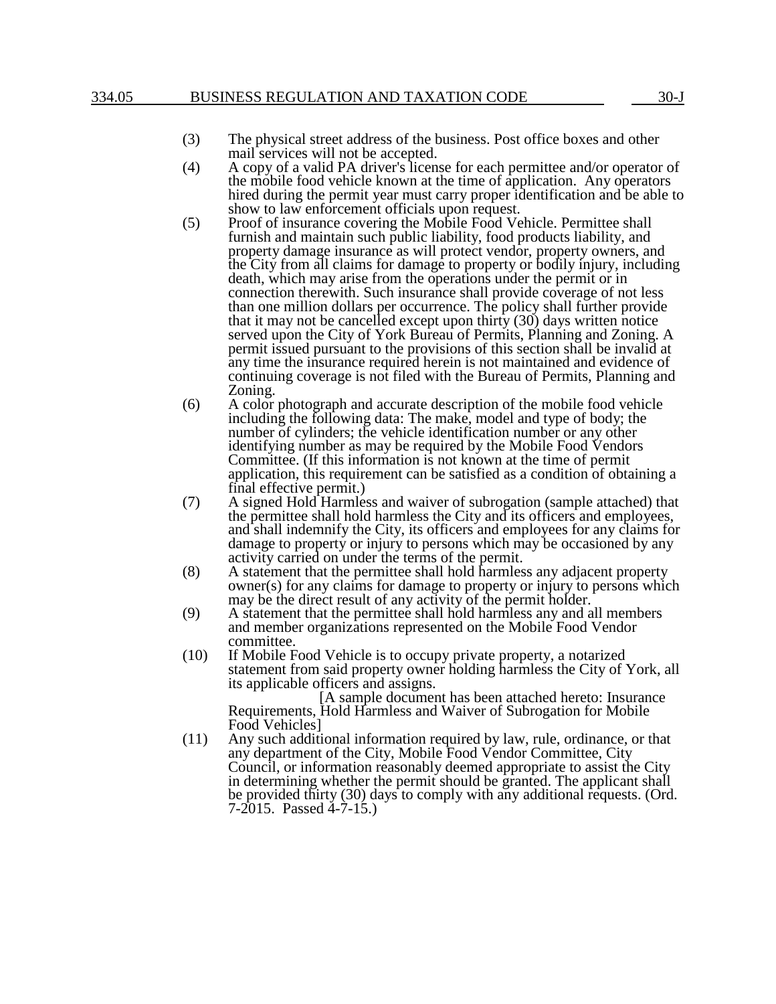## 334.05 BUSINESS REGULATION AND TAXATION CODE 30-J

- (3) The physical street address of the business. Post office boxes and other mail services will not be accepted.
- (4) A copy of a valid PA driver's license for each permittee and/or operator of the mobile food vehicle known at the time of application. Any operators hired during the permit year must carry proper identification and be able to show to law enforcement officials upon request.
- (5) Proof of insurance covering the Mobile Food Vehicle. Permittee shall furnish and maintain such public liability, food products liability, and property damage insurance as will protect vendor, property owners, and the City from all claims for damage to property or bodily injury, including death, which may arise from the operations under the permit or in connection therewith. Such insurance shall provide coverage of not less than one million dollars per occurrence. The policy shall further provide that it may not be cancelled except upon thirty (30) days written notice served upon the City of York Bureau of Permits, Planning and Zoning. A permit issued pursuant to the provisions of this section shall be invalid at any time the insurance required herein is not maintained and evidence of continuing coverage is not filed with the Bureau of Permits, Planning and Zoning.
- (6) A color photograph and accurate description of the mobile food vehicle including the following data: The make, model and type of body; the number of cylinders; the vehicle identification number or any other identifying number as may be required by the Mobile Food Vendors Committee. (If this information is not known at the time of permit application, this requirement can be satisfied as a condition of obtaining a final effective permit.)
- (7) A signed Hold Harmless and waiver of subrogation (sample attached) that the permittee shall hold harmless the City and its officers and employees, and shall indemnify the City, its officers and employees for any claims for damage to property or injury to persons which may be occasioned by any activity carried on under the terms of the permit.
- (8) A statement that the permittee shall hold harmless any adjacent property owner(s) for any claims for damage to property or injury to persons which may be the direct result of any activity of the permit holder.
- (9) A statement that the permittee shall hold harmless any and all members and member organizations represented on the Mobile Food Vendor committee.
- (10) If Mobile Food Vehicle is to occupy private property, a notarized statement from said property owner holding harmless the City of York, all its applicable officers and assigns.

[A sample document has been attached hereto: Insurance Requirements, Hold Harmless and Waiver of Subrogation for Mobile Food Vehicles]

(11) Any such additional information required by law, rule, ordinance, or that any department of the City, Mobile Food Vendor Committee, City Council, or information reasonably deemed appropriate to assist the City in determining whether the permit should be granted. The applicant shall be provided thirty (30) days to comply with any additional requests. (Ord. 7-2015. Passed 4-7-15.)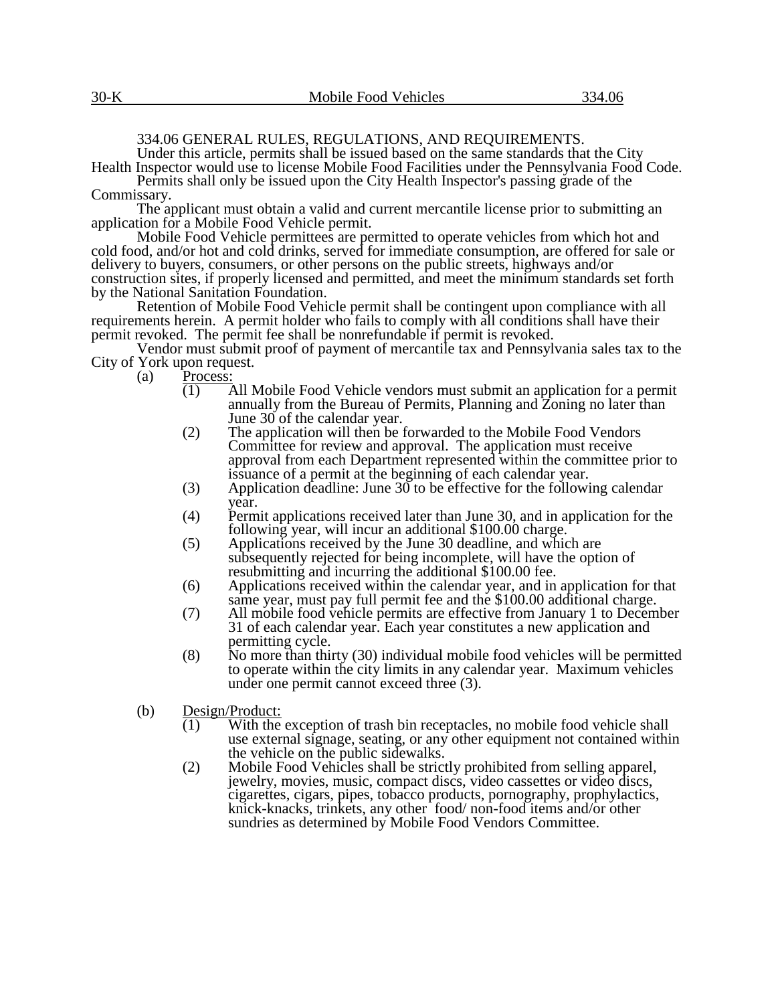# 334.06 GENERAL RULES, REGULATIONS, AND REQUIREMENTS.

Under this article, permits shall be issued based on the same standards that the City Health Inspector would use to license Mobile Food Facilities under the Pennsylvania Food Code. Permits shall only be issued upon the City Health Inspector's passing grade of the

Commissary.

The applicant must obtain a valid and current mercantile license prior to submitting an application for a Mobile Food Vehicle permit.

Mobile Food Vehicle permittees are permitted to operate vehicles from which hot and cold food, and/or hot and cold drinks, served for immediate consumption, are offered for sale or delivery to buyers, consumers, or other persons on the public streets, highways and/or construction sites, if properly licensed and permitted, and meet the minimum standards set forth by the National Sanitation Foundation.

Retention of Mobile Food Vehicle permit shall be contingent upon compliance with all requirements herein. A permit holder who fails to comply with all conditions shall have their permit revoked. The permit fee shall be nonrefundable if permit is revoked.

Vendor must submit proof of payment of mercantile tax and Pennsylvania sales tax to the City of York upon request.

(a) Process:

- (1) All Mobile Food Vehicle vendors must submit an application for a permit annually from the Bureau of Permits, Planning and Zoning no later than June 30 of the calendar year.
- (2) The application will then be forwarded to the Mobile Food Vendors Committee for review and approval. The application must receive approval from each Department represented within the committee prior to issuance of a permit at the beginning of each calendar year.
- (3) Application deadline: June  $30$  to be effective for the following calendar year.
- (4) Permit applications received later than June 30, and in application for the following year, will incur an additional \$100.00 charge.
- (5) Applications received by the June 30 deadline, and which are subsequently rejected for being incomplete, will have the option of resubmitting and incurring the additional \$100.00 fee.
- (6) Applications received within the calendar year, and in application for that same year, must pay full permit fee and the \$100.00 additional charge.
- (7) All mobile food vehicle permits are effective from January 1 to December 31 of each calendar year. Each year constitutes a new application and permitting cycle.
- (8) No more than thirty (30) individual mobile food vehicles will be permitted to operate within the city limits in any calendar year. Maximum vehicles under one permit cannot exceed three (3).
- (b) Design/Product:
	- (1) With the exception of trash bin receptacles, no mobile food vehicle shall use external signage, seating, or any other equipment not contained within the vehicle on the public sidewalks.
	- (2) Mobile Food Vehicles shall be strictly prohibited from selling apparel, jewelry, movies, music, compact discs, video cassettes or video discs, cigarettes, cigars, pipes, tobacco products, pornography, prophylactics, knick-knacks, trinkets, any other food/ non-food items and/or other sundries as determined by Mobile Food Vendors Committee.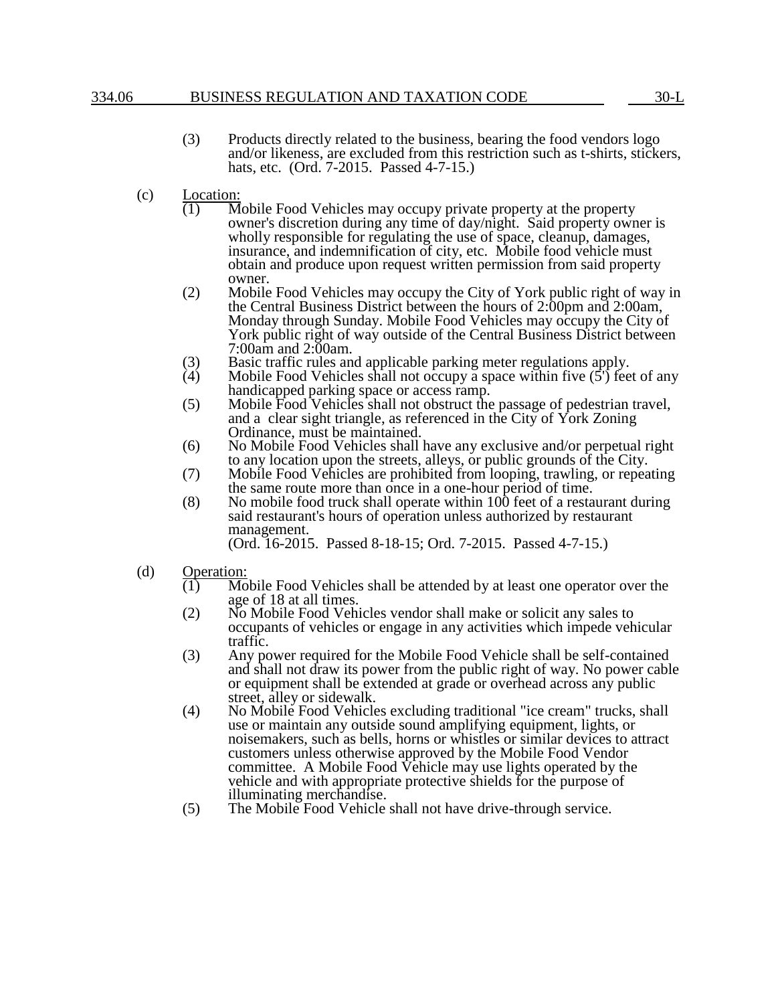### 334.06 BUSINESS REGULATION AND TAXATION CODE 30-L

- (3) Products directly related to the business, bearing the food vendors logo and/or likeness, are excluded from this restriction such as t-shirts, stickers, hats, etc. (Ord. 7-2015. Passed 4-7-15.)
- (c)  $\frac{\text{Location:}}{(1) \text{ M}}$ 
	- Mobile Food Vehicles may occupy private property at the property owner's discretion during any time of day/night. Said property owner is wholly responsible for regulating the use of space, cleanup, damages, insurance, and indemnification of city, etc. Mobile food vehicle must obtain and produce upon request written permission from said property owner.
	- (2) Mobile Food Vehicles may occupy the City of York public right of way in the Central Business District between the hours of 2:00pm and 2:00am, Monday through Sunday. Mobile Food Vehicles may occupy the City of York public right of way outside of the Central Business District between 7:00am and 2:00am.
	- (3) Basic traffic rules and applicable parking meter regulations apply.<br>
	(4) Mobile Food Vehicles shall not occupy a space within five (5') fee
	- Mobile Food Vehicles shall not occupy a space within five  $(5')$  feet of any handicapped parking space or access ramp.
	- (5) Mobile Food Vehicles shall not obstruct the passage of pedestrian travel, and a clear sight triangle, as referenced in the City of York Zoning Ordinance, must be maintained.
	- (6) No Mobile Food Vehicles shall have any exclusive and/or perpetual right to any location upon the streets, alleys, or public grounds of the City.
	- (7) Mobile Food Vehicles are prohibited from looping, trawling, or repeating the same route more than once in a one-hour period of time.
	- (8) No mobile food truck shall operate within 100 feet of a restaurant during said restaurant's hours of operation unless authorized by restaurant management.
		- (Ord. 16-2015. Passed 8-18-15; Ord. 7-2015. Passed 4-7-15.)
- (d)  $\frac{\text{Operation:}}{(1) \quad \text{Mo}}$ 
	- Mobile Food Vehicles shall be attended by at least one operator over the age of 18 at all times.
	- (2) No Mobile Food Vehicles vendor shall make or solicit any sales to occupants of vehicles or engage in any activities which impede vehicular traffic.
	- (3) Any power required for the Mobile Food Vehicle shall be self-contained and shall not draw its power from the public right of way. No power cable or equipment shall be extended at grade or overhead across any public street, alley or sidewalk.
	- (4) No Mobile Food Vehicles excluding traditional "ice cream" trucks, shall use or maintain any outside sound amplifying equipment, lights, or noisemakers, such as bells, horns or whistles or similar devices to attract customers unless otherwise approved by the Mobile Food Vendor committee. A Mobile Food Vehicle may use lights operated by the vehicle and with appropriate protective shields for the purpose of illuminating merchandise.
	- (5) The Mobile Food Vehicle shall not have drive-through service.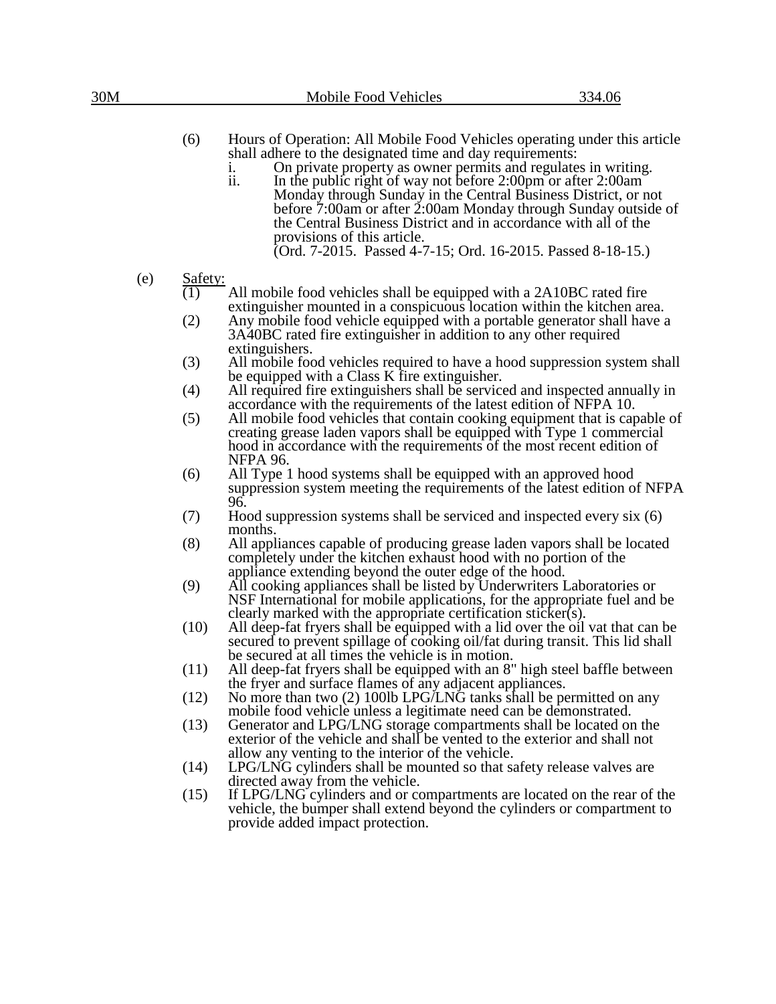(6) Hours of Operation: All Mobile Food Vehicles operating under this article shall adhere to the designated time and day requirements:

- i. On private property as owner permits and regulates in writing.<br>ii. In the public right of way not before 2:00pm or after 2:00am
- In the public right of way not before  $2:00 \text{pm}$  or after  $2:00 \text{am}$ Monday through Sunday in the Central Business District, or not before 7:00am or after 2:00am Monday through Sunday outside of the Central Business District and in accordance with all of the provisions of this article. (Ord. 7-2015. Passed 4-7-15; Ord. 16-2015. Passed 8-18-15.)
- (e)  $\frac{\text{Safety:}}{(1)}$ 
	- All mobile food vehicles shall be equipped with a 2A10BC rated fire extinguisher mounted in a conspicuous location within the kitchen area.
	- (2) Any mobile food vehicle equipped with a portable generator shall have a 3A40BC rated fire extinguisher in addition to any other required extinguishers.
	- (3) All mobile food vehicles required to have a hood suppression system shall be equipped with a Class K fire extinguisher.
	- (4) All required fire extinguishers shall be serviced and inspected annually in accordance with the requirements of the latest edition of NFPA 10.
	- (5) All mobile food vehicles that contain cooking equipment that is capable of creating grease laden vapors shall be equipped with Type 1 commercial hood in accordance with the requirements of the most recent edition of NFPA 96.
	- (6) All Type 1 hood systems shall be equipped with an approved hood suppression system meeting the requirements of the latest edition of NFPA 96.
	- (7) Hood suppression systems shall be serviced and inspected every six (6) months.
	- (8) All appliances capable of producing grease laden vapors shall be located completely under the kitchen exhaust hood with no portion of the appliance extending beyond the outer edge of the hood.
	- (9) All cooking appliances shall be listed by Underwriters Laboratories or NSF International for mobile applications, for the appropriate fuel and be clearly marked with the appropriate certification sticker(s).
	- (10) All deep-fat fryers shall be equipped with a lid over the oil vat that can be secured to prevent spillage of cooking oil/fat during transit. This lid shall be secured at all times the vehicle is in motion.
	- (11) All deep-fat fryers shall be equipped with an 8" high steel baffle between the fryer and surface flames of any adjacent appliances.
	- (12) No more than two (2) 100lb LPG/LNG tanks shall be permitted on any mobile food vehicle unless a legitimate need can be demonstrated.
	- (13) Generator and LPG/LNG storage compartments shall be located on the exterior of the vehicle and shall be vented to the exterior and shall not allow any venting to the interior of the vehicle.
	- (14) LPG/LNG cylinders shall be mounted so that safety release valves are directed away from the vehicle.
	- (15) If LPG/LNG cylinders and or compartments are located on the rear of the vehicle, the bumper shall extend beyond the cylinders or compartment to provide added impact protection.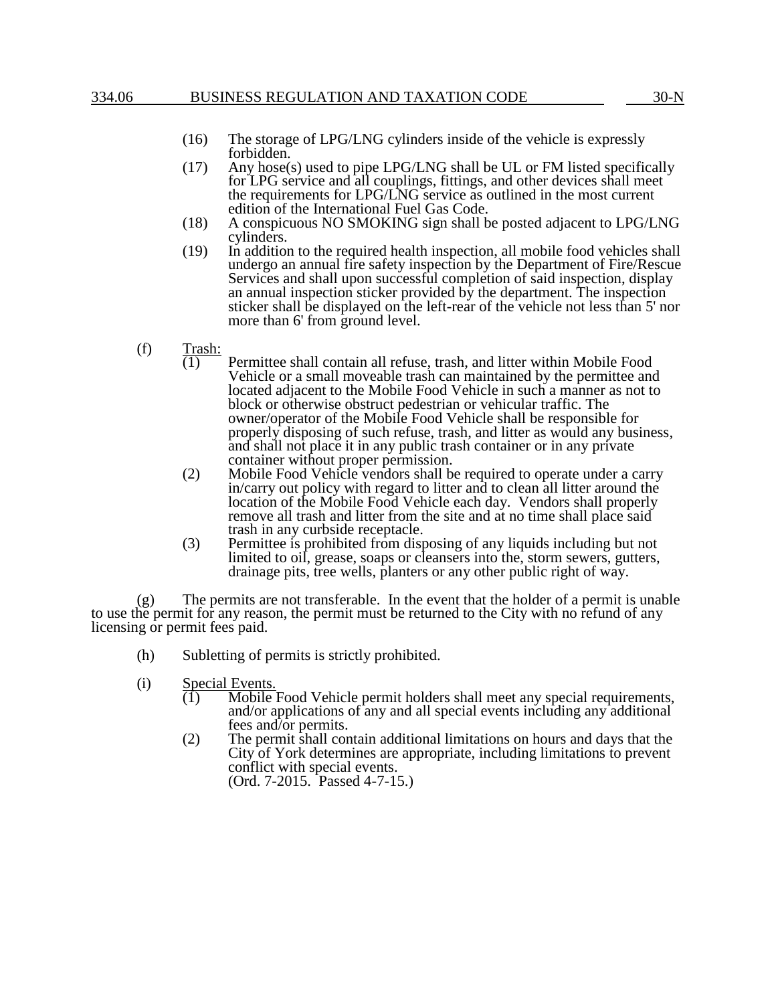# 334.06 BUSINESS REGULATION AND TAXATION CODE 30-N

- (16) The storage of LPG/LNG cylinders inside of the vehicle is expressly forbidden.
- (17) Any hose(s) used to pipe LPG/LNG shall be UL or FM listed specifically for LPG service and all couplings, fittings, and other devices shall meet the requirements for LPG/LNG service as outlined in the most current edition of the International Fuel Gas Code.
- (18) A conspicuous NO SMOKING sign shall be posted adjacent to LPG/LNG cylinders.
- (19) In addition to the required health inspection, all mobile food vehicles shall undergo an annual fire safety inspection by the Department of Fire/Rescue Services and shall upon successful completion of said inspection, display an annual inspection sticker provided by the department. The inspection sticker shall be displayed on the left-rear of the vehicle not less than 5' nor more than 6' from ground level.
- (f)  $\frac{\text{Trash:}}{(1)}$ 
	- Permittee shall contain all refuse, trash, and litter within Mobile Food Vehicle or a small moveable trash can maintained by the permittee and located adjacent to the Mobile Food Vehicle in such a manner as not to block or otherwise obstruct pedestrian or vehicular traffic. The owner/operator of the Mobile Food Vehicle shall be responsible for properly disposing of such refuse, trash, and litter as would any business, and shall not place it in any public trash container or in any private container without proper permission.
	- (2) Mobile Food Vehicle vendors shall be required to operate under a carry in/carry out policy with regard to litter and to clean all litter around the location of the Mobile Food Vehicle each day. Vendors shall properly remove all trash and litter from the site and at no time shall place said trash in any curbside receptacle.
	- (3) Permittee is prohibited from disposing of any liquids including but not limited to oil, grease, soaps or cleansers into the, storm sewers, gutters, drainage pits, tree wells, planters or any other public right of way.

(g) The permits are not transferable. In the event that the holder of a permit is unable to use the permit for any reason, the permit must be returned to the City with no refund of any licensing or permit fees paid.

- (h) Subletting of permits is strictly prohibited.
- (i) Special Events.
	- $(1)$  Mobile Food Vehicle permit holders shall meet any special requirements, and/or applications of any and all special events including any additional fees and/or permits.
	- (2) The permit shall contain additional limitations on hours and days that the City of York determines are appropriate, including limitations to prevent conflict with special events. (Ord. 7-2015. Passed 4-7-15.)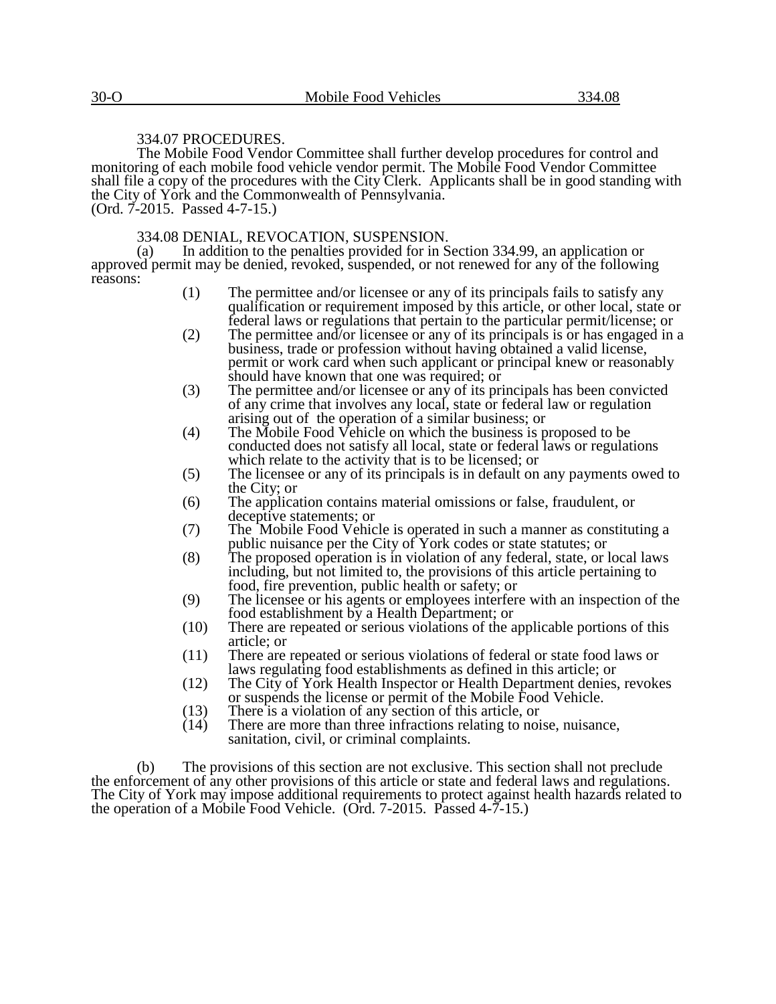### 334.07 PROCEDURES.

The Mobile Food Vendor Committee shall further develop procedures for control and monitoring of each mobile food vehicle vendor permit. The Mobile Food Vendor Committee shall file a copy of the procedures with the City Clerk. Applicants shall be in good standing with the City of York and the Commonwealth of Pennsylvania. (Ord. 7-2015. Passed 4-7-15.)

#### 334.08 DENIAL, REVOCATION, SUSPENSION.

(a) In addition to the penalties provided for in Section 334.99, an application or approved permit may be denied, revoked, suspended, or not renewed for any of the following reasons:

- (1) The permittee and/or licensee or any of its principals fails to satisfy any qualification or requirement imposed by this article, or other local, state or federal laws or regulations that pertain to the particular permit/license; or
- (2) The permittee and/or licensee or any of its principals is or has engaged in a business, trade or profession without having obtained a valid license, permit or work card when such applicant or principal knew or reasonably should have known that one was required; or
- (3) The permittee and/or licensee or any of its principals has been convicted of any crime that involves any local, state or federal law or regulation arising out of the operation of a similar business; or
- (4) The Mobile Food Vehicle on which the business is proposed to be conducted does not satisfy all local, state or federal laws or regulations which relate to the activity that is to be licensed; or
- (5) The licensee or any of its principals is in default on any payments owed to the City; or
- (6) The application contains material omissions or false, fraudulent, or deceptive statements; or
- (7) The Mobile Food Vehicle is operated in such a manner as constituting a public nuisance per the City of York codes or state statutes; or
- (8) The proposed operation is in violation of any federal, state, or local laws including, but not limited to, the provisions of this article pertaining to food, fire prevention, public health or safety; or
- (9) The licensee or his agents or employees interfere with an inspection of the food establishment by a Health Department; or
- (10) There are repeated or serious violations of the applicable portions of this article; or
- (11) There are repeated or serious violations of federal or state food laws or laws regulating food establishments as defined in this article; or
- (12) The City of York Health Inspector or Health Department denies, revokes or suspends the license or permit of the Mobile Food Vehicle.
- (13) There is a violation of any section of this article, or  $(14)$  There are more than three infractions relating to noi
- There are more than three infractions relating to noise, nuisance, sanitation, civil, or criminal complaints.

(b) The provisions of this section are not exclusive. This section shall not preclude the enforcement of any other provisions of this article or state and federal laws and regulations. The City of York may impose additional requirements to protect against health hazards related to the operation of a Mobile Food Vehicle. (Ord. 7-2015. Passed 4-7-15.)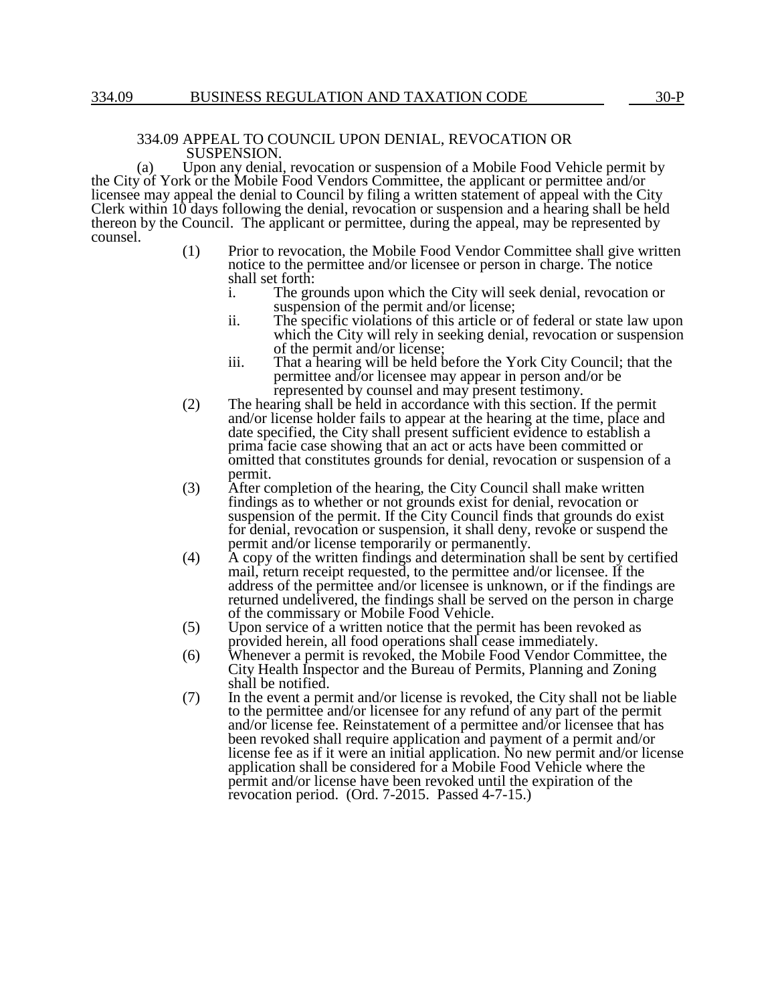#### 334.09 APPEAL TO COUNCIL UPON DENIAL, REVOCATION OR SUSPENSION.

(a) Upon any denial, revocation or suspension of a Mobile Food Vehicle permit by the City of York or the Mobile Food Vendors Committee, the applicant or permittee and/or licensee may appeal the denial to Council by filing a written statement of appeal with the City Clerk within 10 days following the denial, revocation or suspension and a hearing shall be held thereon by the Council. The applicant or permittee, during the appeal, may be represented by counsel.

- (1) Prior to revocation, the Mobile Food Vendor Committee shall give written notice to the permittee and/or licensee or person in charge. The notice shall set forth:
	- i. The grounds upon which the City will seek denial, revocation or suspension of the permit and/or license;
	- ii. The specific violations of this article or of federal or state law upon which the City will rely in seeking denial, revocation or suspension of the permit and/or license;
	- iii. That a hearing will be held before the York City Council; that the permittee and/or licensee may appear in person and/or be represented by counsel and may present testimony.
- (2) The hearing shall be held in accordance with this section. If the permit and/or license holder fails to appear at the hearing at the time, place and date specified, the City shall present sufficient evidence to establish a prima facie case showing that an act or acts have been committed or omitted that constitutes grounds for denial, revocation or suspension of a permit.
- (3) After completion of the hearing, the City Council shall make written findings as to whether or not grounds exist for denial, revocation or suspension of the permit. If the City Council finds that grounds do exist for denial, revocation or suspension, it shall deny, revoke or suspend the permit and/or license temporarily or permanently.
- (4) A copy of the written findings and determination shall be sent by certified mail, return receipt requested, to the permittee and/or licensee. If the address of the permittee and/or licensee is unknown, or if the findings are returned undelivered, the findings shall be served on the person in charge of the commissary or Mobile Food Vehicle.
- (5) Upon service of a written notice that the permit has been revoked as provided herein, all food operations shall cease immediately.
- (6) Whenever a permit is revoked, the Mobile Food Vendor Committee, the City Health Inspector and the Bureau of Permits, Planning and Zoning shall be notified.
- (7) In the event a permit and/or license is revoked, the City shall not be liable to the permittee and/or licensee for any refund of any part of the permit and/or license fee. Reinstatement of a permittee and/or licensee that has been revoked shall require application and payment of a permit and/or license fee as if it were an initial application. No new permit and/or license application shall be considered for a Mobile Food Vehicle where the permit and/or license have been revoked until the expiration of the revocation period. (Ord. 7-2015. Passed 4-7-15.)